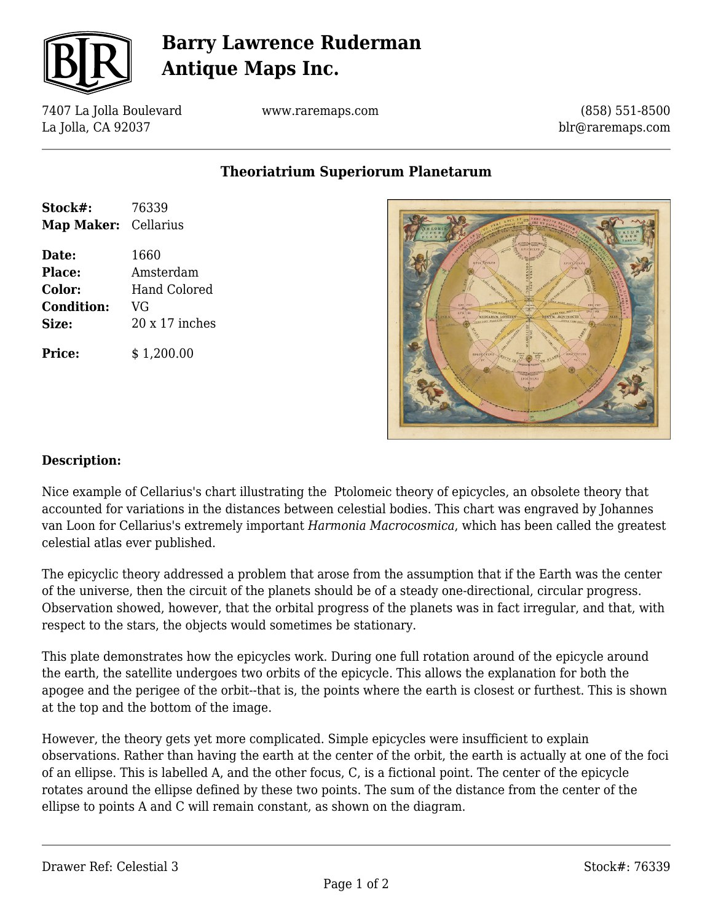

# **Barry Lawrence Ruderman Antique Maps Inc.**

7407 La Jolla Boulevard La Jolla, CA 92037

www.raremaps.com

(858) 551-8500 blr@raremaps.com

**Theoriatrium Superiorum Planetarum**

| Stock#:              | 76339                 |
|----------------------|-----------------------|
| Map Maker: Cellarius |                       |
| Date:                | 1660                  |
| Place:               | Amsterdam             |
| Color:               | Hand Colored          |
| <b>Condition:</b>    | VG                    |
| Size:                | $20 \times 17$ inches |
| Price:               | \$1,200.00            |



#### **Description:**

Nice example of Cellarius's chart illustrating the Ptolomeic theory of epicycles, an obsolete theory that accounted for variations in the distances between celestial bodies. This chart was engraved by Johannes van Loon for Cellarius's extremely important *Harmonia Macrocosmica*, which has been called the greatest celestial atlas ever published.

The epicyclic theory addressed a problem that arose from the assumption that if the Earth was the center of the universe, then the circuit of the planets should be of a steady one-directional, circular progress. Observation showed, however, that the orbital progress of the planets was in fact irregular, and that, with respect to the stars, the objects would sometimes be stationary.

This plate demonstrates how the epicycles work. During one full rotation around of the epicycle around the earth, the satellite undergoes two orbits of the epicycle. This allows the explanation for both the apogee and the perigee of the orbit--that is, the points where the earth is closest or furthest. This is shown at the top and the bottom of the image.

However, the theory gets yet more complicated. Simple epicycles were insufficient to explain observations. Rather than having the earth at the center of the orbit, the earth is actually at one of the foci of an ellipse. This is labelled A, and the other focus, C, is a fictional point. The center of the epicycle rotates around the ellipse defined by these two points. The sum of the distance from the center of the ellipse to points A and C will remain constant, as shown on the diagram.